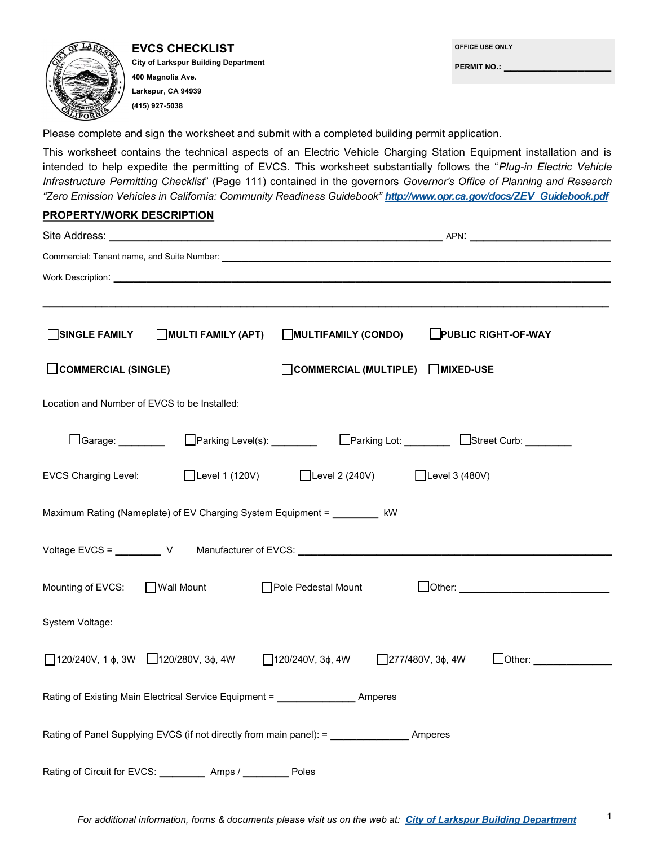

**EVCS CHECKLIST City of Larkspur Building Department 400 Magnolia Ave. Larkspur, CA 94939 (415) 927-5038**

| OFFICE USE ONLY    |  |  |
|--------------------|--|--|
| <b>PERMIT NO.:</b> |  |  |
|                    |  |  |

1

Please complete and sign the worksheet and submit with a completed building permit application.

This worksheet contains the technical aspects of an Electric Vehicle Charging Station Equipment installation and is intended to help expedite the permitting of EVCS. This worksheet substantially follows the "*Plug-in Electric Vehicle Infrastructure Permitting Checklist*" (Page 111) contained in the governors *Governor's Office of Planning and Research "Zero Emission Vehicles in California: Community Readiness Guidebook" http://www.opr.ca.gov/docs/ZEV\_Guidebook.pdf*

## **PROPERTY/WORK DESCRIPTION**

| Site Address: _                                                                          |                                                               |  |  |  |  |  |
|------------------------------------------------------------------------------------------|---------------------------------------------------------------|--|--|--|--|--|
|                                                                                          |                                                               |  |  |  |  |  |
|                                                                                          |                                                               |  |  |  |  |  |
|                                                                                          |                                                               |  |  |  |  |  |
| SINGLE FAMILY<br>MULTI FAMILY (APT)                                                      | <b>PUBLIC RIGHT-OF-WAY</b><br>MULTIFAMILY (CONDO)             |  |  |  |  |  |
| COMMERCIAL (SINGLE)                                                                      | $\bigcap$ COMMERCIAL (MULTIPLE) $\bigcap$ MIXED-USE           |  |  |  |  |  |
| Location and Number of EVCS to be Installed:                                             |                                                               |  |  |  |  |  |
| □Garage: _________                                                                       |                                                               |  |  |  |  |  |
| □Level 1 (120V) □Level 2 (240V) □Level 3 (480V)<br><b>EVCS Charging Level:</b>           |                                                               |  |  |  |  |  |
| Maximum Rating (Nameplate) of EV Charging System Equipment = _________ kW                |                                                               |  |  |  |  |  |
| Voltage EVCS = ___________ V Manufacturer of EVCS: _____________________________         |                                                               |  |  |  |  |  |
| Mounting of EVCS: Mall Mount Pole Pedestal Mount                                         |                                                               |  |  |  |  |  |
| System Voltage:                                                                          |                                                               |  |  |  |  |  |
| $120/240V$ , 1 $\phi$ , 3W 120/280V, 3 $\phi$ , 4W 120/240V, 3 $\phi$ , 4W               | $277/480V$ , $3\phi$ , $4W$<br><b>Other:</b> ________________ |  |  |  |  |  |
| Rating of Existing Main Electrical Service Equipment = _________________________ Amperes |                                                               |  |  |  |  |  |
|                                                                                          |                                                               |  |  |  |  |  |
| Rating of Circuit for EVCS: __________ Amps / _________ Poles                            |                                                               |  |  |  |  |  |